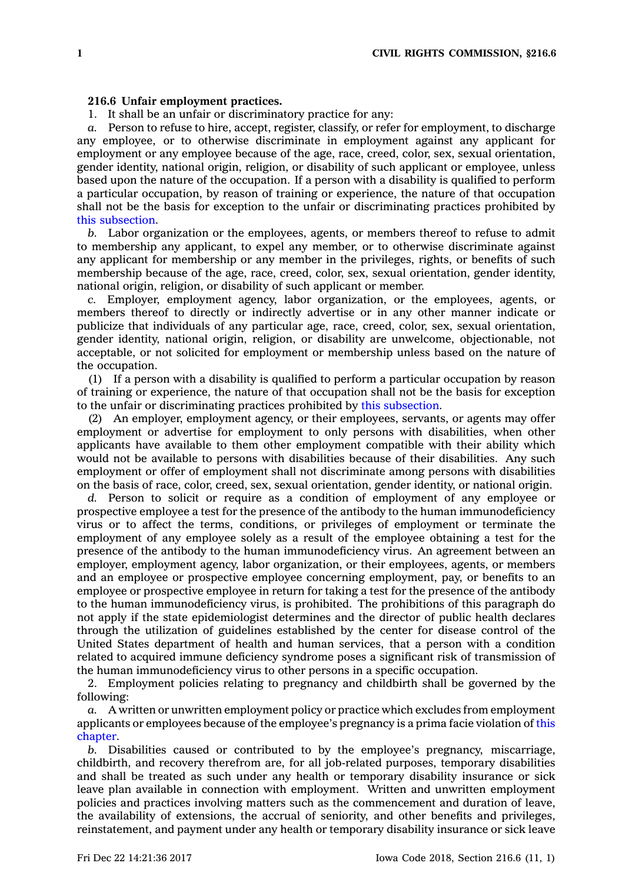## **216.6 Unfair employment practices.**

1. It shall be an unfair or discriminatory practice for any:

*a.* Person to refuse to hire, accept, register, classify, or refer for employment, to discharge any employee, or to otherwise discriminate in employment against any applicant for employment or any employee because of the age, race, creed, color, sex, sexual orientation, gender identity, national origin, religion, or disability of such applicant or employee, unless based upon the nature of the occupation. If <sup>a</sup> person with <sup>a</sup> disability is qualified to perform <sup>a</sup> particular occupation, by reason of training or experience, the nature of that occupation shall not be the basis for exception to the unfair or discriminating practices prohibited by this [subsection](https://www.legis.iowa.gov/docs/code/216.6.pdf).

*b.* Labor organization or the employees, agents, or members thereof to refuse to admit to membership any applicant, to expel any member, or to otherwise discriminate against any applicant for membership or any member in the privileges, rights, or benefits of such membership because of the age, race, creed, color, sex, sexual orientation, gender identity, national origin, religion, or disability of such applicant or member.

*c.* Employer, employment agency, labor organization, or the employees, agents, or members thereof to directly or indirectly advertise or in any other manner indicate or publicize that individuals of any particular age, race, creed, color, sex, sexual orientation, gender identity, national origin, religion, or disability are unwelcome, objectionable, not acceptable, or not solicited for employment or membership unless based on the nature of the occupation.

(1) If <sup>a</sup> person with <sup>a</sup> disability is qualified to perform <sup>a</sup> particular occupation by reason of training or experience, the nature of that occupation shall not be the basis for exception to the unfair or discriminating practices prohibited by this [subsection](https://www.legis.iowa.gov/docs/code/216.6.pdf).

(2) An employer, employment agency, or their employees, servants, or agents may offer employment or advertise for employment to only persons with disabilities, when other applicants have available to them other employment compatible with their ability which would not be available to persons with disabilities because of their disabilities. Any such employment or offer of employment shall not discriminate among persons with disabilities on the basis of race, color, creed, sex, sexual orientation, gender identity, or national origin.

*d.* Person to solicit or require as <sup>a</sup> condition of employment of any employee or prospective employee <sup>a</sup> test for the presence of the antibody to the human immunodeficiency virus or to affect the terms, conditions, or privileges of employment or terminate the employment of any employee solely as <sup>a</sup> result of the employee obtaining <sup>a</sup> test for the presence of the antibody to the human immunodeficiency virus. An agreement between an employer, employment agency, labor organization, or their employees, agents, or members and an employee or prospective employee concerning employment, pay, or benefits to an employee or prospective employee in return for taking <sup>a</sup> test for the presence of the antibody to the human immunodeficiency virus, is prohibited. The prohibitions of this paragraph do not apply if the state epidemiologist determines and the director of public health declares through the utilization of guidelines established by the center for disease control of the United States department of health and human services, that <sup>a</sup> person with <sup>a</sup> condition related to acquired immune deficiency syndrome poses <sup>a</sup> significant risk of transmission of the human immunodeficiency virus to other persons in <sup>a</sup> specific occupation.

2. Employment policies relating to pregnancy and childbirth shall be governed by the following:

*a.* A written or unwritten employment policy or practice which excludes from employment applicants or employees because of the employee's pregnancy is <sup>a</sup> prima facie violation of [this](https://www.legis.iowa.gov/docs/code//216.pdf) [chapter](https://www.legis.iowa.gov/docs/code//216.pdf).

*b.* Disabilities caused or contributed to by the employee's pregnancy, miscarriage, childbirth, and recovery therefrom are, for all job-related purposes, temporary disabilities and shall be treated as such under any health or temporary disability insurance or sick leave plan available in connection with employment. Written and unwritten employment policies and practices involving matters such as the commencement and duration of leave, the availability of extensions, the accrual of seniority, and other benefits and privileges, reinstatement, and payment under any health or temporary disability insurance or sick leave